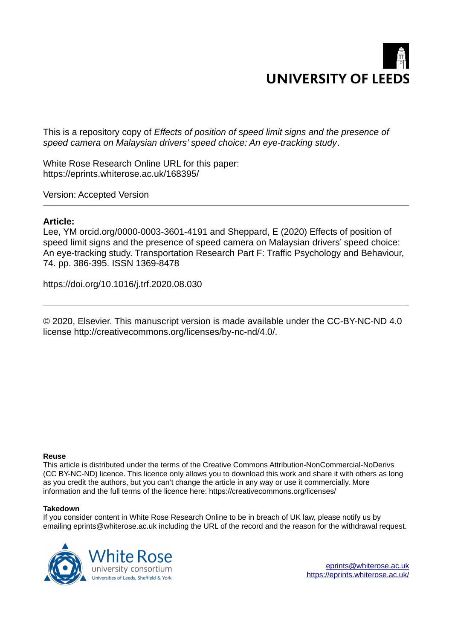

This is a repository copy of *Effects of position of speed limit signs and the presence of speed camera on Malaysian drivers' speed choice: An eye-tracking study*.

White Rose Research Online URL for this paper: https://eprints.whiterose.ac.uk/168395/

Version: Accepted Version

# **Article:**

Lee, YM orcid.org/0000-0003-3601-4191 and Sheppard, E (2020) Effects of position of speed limit signs and the presence of speed camera on Malaysian drivers' speed choice: An eye-tracking study. Transportation Research Part F: Traffic Psychology and Behaviour, 74. pp. 386-395. ISSN 1369-8478

https://doi.org/10.1016/j.trf.2020.08.030

© 2020, Elsevier. This manuscript version is made available under the CC-BY-NC-ND 4.0 license http://creativecommons.org/licenses/by-nc-nd/4.0/.

#### **Reuse**

This article is distributed under the terms of the Creative Commons Attribution-NonCommercial-NoDerivs (CC BY-NC-ND) licence. This licence only allows you to download this work and share it with others as long as you credit the authors, but you can't change the article in any way or use it commercially. More information and the full terms of the licence here: https://creativecommons.org/licenses/

#### **Takedown**

If you consider content in White Rose Research Online to be in breach of UK law, please notify us by emailing eprints@whiterose.ac.uk including the URL of the record and the reason for the withdrawal request.



eprints@whiterose.ac.uk https://eprints.whiterose.ac.uk/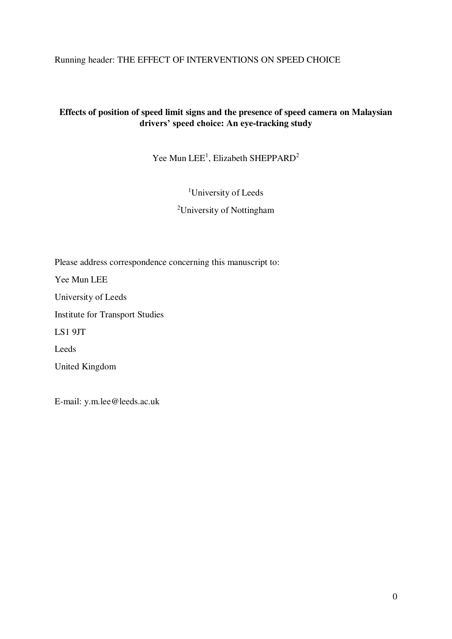# Running header: THE EFFECT OF INTERVENTIONS ON SPEED CHOICE

# **Effects of position of speed limit signs and the presence of speed camera on Malaysian drivers' speed choice: An eye-tracking study**

Yee Mun LEE<sup>1</sup>, Elizabeth SHEPPARD<sup>2</sup>

<sup>1</sup>University of Leeds

<sup>2</sup>University of Nottingham

Please address correspondence concerning this manuscript to:

Yee Mun LEE

University of Leeds

Institute for Transport Studies

LS1 9JT

Leeds

United Kingdom

E-mail: y.m.lee@leeds.ac.uk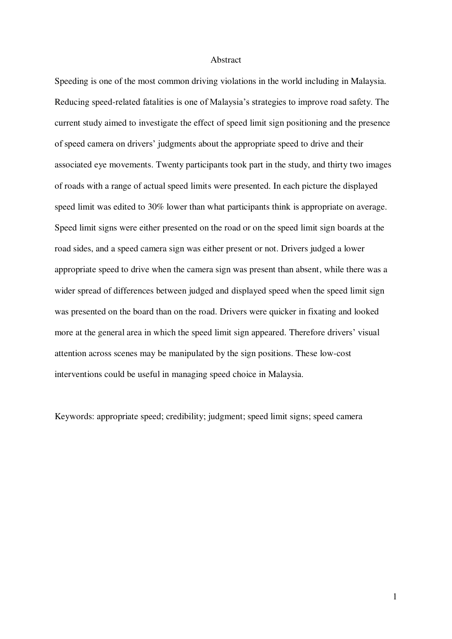## Abstract

Speeding is one of the most common driving violations in the world including in Malaysia. Reducing speed-related fatalities is one of Malaysia's strategies to improve road safety. The current study aimed to investigate the effect of speed limit sign positioning and the presence of speed camera on drivers' judgments about the appropriate speed to drive and their associated eye movements. Twenty participants took part in the study, and thirty two images of roads with a range of actual speed limits were presented. In each picture the displayed speed limit was edited to 30% lower than what participants think is appropriate on average. Speed limit signs were either presented on the road or on the speed limit sign boards at the road sides, and a speed camera sign was either present or not. Drivers judged a lower appropriate speed to drive when the camera sign was present than absent, while there was a wider spread of differences between judged and displayed speed when the speed limit sign was presented on the board than on the road. Drivers were quicker in fixating and looked more at the general area in which the speed limit sign appeared. Therefore drivers' visual attention across scenes may be manipulated by the sign positions. These low-cost interventions could be useful in managing speed choice in Malaysia.

Keywords: appropriate speed; credibility; judgment; speed limit signs; speed camera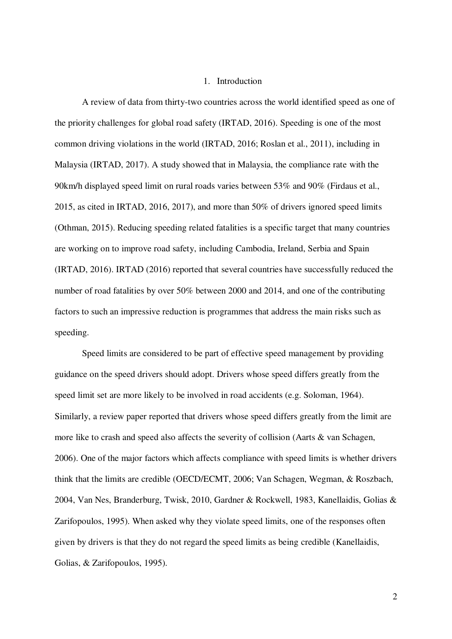#### 1. Introduction

 A review of data from thirty-two countries across the world identified speed as one of the priority challenges for global road safety (IRTAD, 2016). Speeding is one of the most common driving violations in the world (IRTAD, 2016; Roslan et al., 2011), including in Malaysia (IRTAD, 2017). A study showed that in Malaysia, the compliance rate with the 90km/h displayed speed limit on rural roads varies between 53% and 90% (Firdaus et al., 2015, as cited in IRTAD, 2016, 2017), and more than 50% of drivers ignored speed limits (Othman, 2015). Reducing speeding related fatalities is a specific target that many countries are working on to improve road safety, including Cambodia, Ireland, Serbia and Spain (IRTAD, 2016). IRTAD (2016) reported that several countries have successfully reduced the number of road fatalities by over 50% between 2000 and 2014, and one of the contributing factors to such an impressive reduction is programmes that address the main risks such as speeding.

 Speed limits are considered to be part of effective speed management by providing guidance on the speed drivers should adopt. Drivers whose speed differs greatly from the speed limit set are more likely to be involved in road accidents (e.g. Soloman, 1964). Similarly, a review paper reported that drivers whose speed differs greatly from the limit are more like to crash and speed also affects the severity of collision (Aarts & van Schagen, 2006). One of the major factors which affects compliance with speed limits is whether drivers think that the limits are credible (OECD/ECMT, 2006; Van Schagen, Wegman, & Roszbach, 2004, Van Nes, Branderburg, Twisk, 2010, Gardner & Rockwell, 1983, Kanellaidis, Golias & Zarifopoulos, 1995). When asked why they violate speed limits, one of the responses often given by drivers is that they do not regard the speed limits as being credible (Kanellaidis, Golias, & Zarifopoulos, 1995).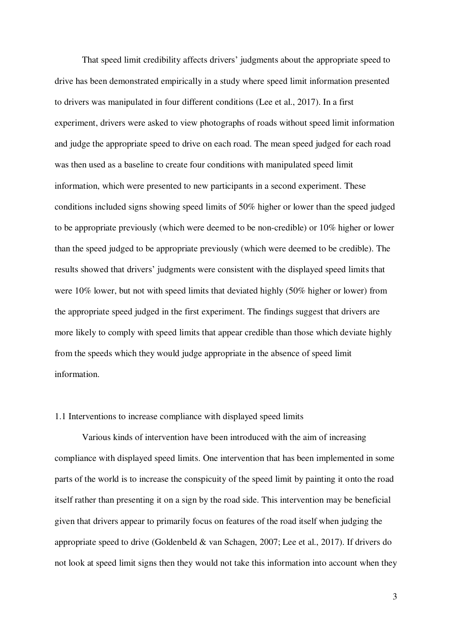That speed limit credibility affects drivers' judgments about the appropriate speed to drive has been demonstrated empirically in a study where speed limit information presented to drivers was manipulated in four different conditions (Lee et al., 2017). In a first experiment, drivers were asked to view photographs of roads without speed limit information and judge the appropriate speed to drive on each road. The mean speed judged for each road was then used as a baseline to create four conditions with manipulated speed limit information, which were presented to new participants in a second experiment. These conditions included signs showing speed limits of 50% higher or lower than the speed judged to be appropriate previously (which were deemed to be non-credible) or 10% higher or lower than the speed judged to be appropriate previously (which were deemed to be credible). The results showed that drivers' judgments were consistent with the displayed speed limits that were 10% lower, but not with speed limits that deviated highly (50% higher or lower) from the appropriate speed judged in the first experiment. The findings suggest that drivers are more likely to comply with speed limits that appear credible than those which deviate highly from the speeds which they would judge appropriate in the absence of speed limit information.

# 1.1 Interventions to increase compliance with displayed speed limits

Various kinds of intervention have been introduced with the aim of increasing compliance with displayed speed limits. One intervention that has been implemented in some parts of the world is to increase the conspicuity of the speed limit by painting it onto the road itself rather than presenting it on a sign by the road side. This intervention may be beneficial given that drivers appear to primarily focus on features of the road itself when judging the appropriate speed to drive (Goldenbeld & van Schagen, 2007; Lee et al., 2017). If drivers do not look at speed limit signs then they would not take this information into account when they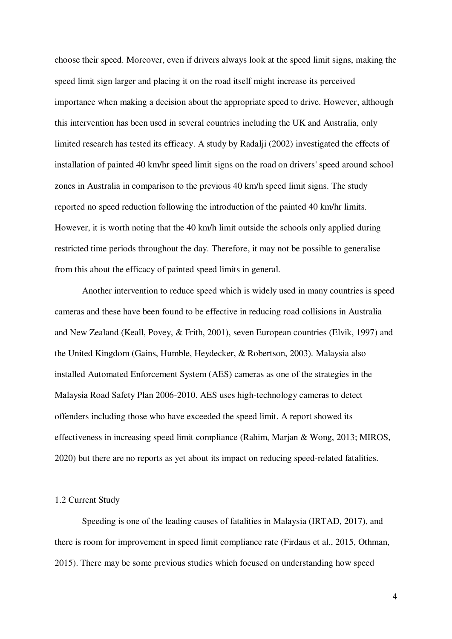choose their speed. Moreover, even if drivers always look at the speed limit signs, making the speed limit sign larger and placing it on the road itself might increase its perceived importance when making a decision about the appropriate speed to drive. However, although this intervention has been used in several countries including the UK and Australia, only limited research has tested its efficacy. A study by Radalji (2002) investigated the effects of installation of painted 40 km/hr speed limit signs on the road on drivers' speed around school zones in Australia in comparison to the previous 40 km/h speed limit signs. The study reported no speed reduction following the introduction of the painted 40 km/hr limits. However, it is worth noting that the 40 km/h limit outside the schools only applied during restricted time periods throughout the day. Therefore, it may not be possible to generalise from this about the efficacy of painted speed limits in general.

Another intervention to reduce speed which is widely used in many countries is speed cameras and these have been found to be effective in reducing road collisions in Australia and New Zealand (Keall, Povey, & Frith, 2001), seven European countries (Elvik, 1997) and the United Kingdom (Gains, Humble, Heydecker, & Robertson, 2003). Malaysia also installed Automated Enforcement System (AES) cameras as one of the strategies in the Malaysia Road Safety Plan 2006-2010. AES uses high-technology cameras to detect offenders including those who have exceeded the speed limit. A report showed its effectiveness in increasing speed limit compliance (Rahim, Marjan & Wong, 2013; MIROS, 2020) but there are no reports as yet about its impact on reducing speed-related fatalities.

#### 1.2 Current Study

Speeding is one of the leading causes of fatalities in Malaysia (IRTAD, 2017), and there is room for improvement in speed limit compliance rate (Firdaus et al., 2015, Othman, 2015). There may be some previous studies which focused on understanding how speed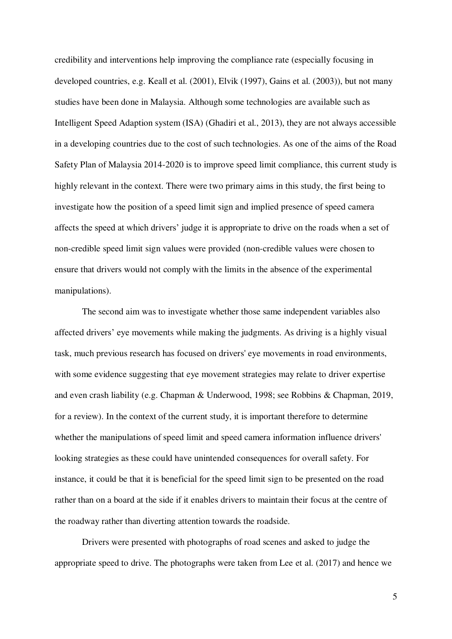credibility and interventions help improving the compliance rate (especially focusing in developed countries, e.g. Keall et al. (2001), Elvik (1997), Gains et al. (2003)), but not many studies have been done in Malaysia. Although some technologies are available such as Intelligent Speed Adaption system (ISA) (Ghadiri et al., 2013), they are not always accessible in a developing countries due to the cost of such technologies. As one of the aims of the Road Safety Plan of Malaysia 2014-2020 is to improve speed limit compliance, this current study is highly relevant in the context. There were two primary aims in this study, the first being to investigate how the position of a speed limit sign and implied presence of speed camera affects the speed at which drivers' judge it is appropriate to drive on the roads when a set of non-credible speed limit sign values were provided (non-credible values were chosen to ensure that drivers would not comply with the limits in the absence of the experimental manipulations).

The second aim was to investigate whether those same independent variables also affected drivers' eye movements while making the judgments. As driving is a highly visual task, much previous research has focused on drivers' eye movements in road environments, with some evidence suggesting that eye movement strategies may relate to driver expertise and even crash liability (e.g. Chapman & Underwood, 1998; see Robbins & Chapman, 2019, for a review). In the context of the current study, it is important therefore to determine whether the manipulations of speed limit and speed camera information influence drivers' looking strategies as these could have unintended consequences for overall safety. For instance, it could be that it is beneficial for the speed limit sign to be presented on the road rather than on a board at the side if it enables drivers to maintain their focus at the centre of the roadway rather than diverting attention towards the roadside.

 Drivers were presented with photographs of road scenes and asked to judge the appropriate speed to drive. The photographs were taken from Lee et al. (2017) and hence we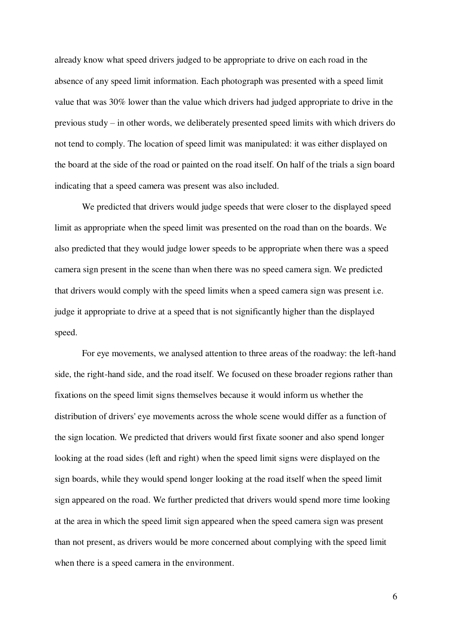already know what speed drivers judged to be appropriate to drive on each road in the absence of any speed limit information. Each photograph was presented with a speed limit value that was 30% lower than the value which drivers had judged appropriate to drive in the previous study – in other words, we deliberately presented speed limits with which drivers do not tend to comply. The location of speed limit was manipulated: it was either displayed on the board at the side of the road or painted on the road itself. On half of the trials a sign board indicating that a speed camera was present was also included.

We predicted that drivers would judge speeds that were closer to the displayed speed limit as appropriate when the speed limit was presented on the road than on the boards. We also predicted that they would judge lower speeds to be appropriate when there was a speed camera sign present in the scene than when there was no speed camera sign. We predicted that drivers would comply with the speed limits when a speed camera sign was present i.e. judge it appropriate to drive at a speed that is not significantly higher than the displayed speed.

For eye movements, we analysed attention to three areas of the roadway: the left-hand side, the right-hand side, and the road itself. We focused on these broader regions rather than fixations on the speed limit signs themselves because it would inform us whether the distribution of drivers' eye movements across the whole scene would differ as a function of the sign location. We predicted that drivers would first fixate sooner and also spend longer looking at the road sides (left and right) when the speed limit signs were displayed on the sign boards, while they would spend longer looking at the road itself when the speed limit sign appeared on the road. We further predicted that drivers would spend more time looking at the area in which the speed limit sign appeared when the speed camera sign was present than not present, as drivers would be more concerned about complying with the speed limit when there is a speed camera in the environment.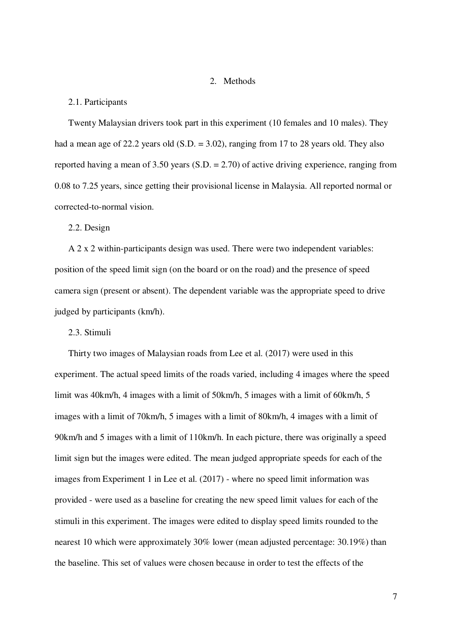## 2. Methods

#### 2.1. Participants

Twenty Malaysian drivers took part in this experiment (10 females and 10 males). They had a mean age of 22.2 years old (S.D. = 3.02), ranging from 17 to 28 years old. They also reported having a mean of 3.50 years (S.D. = 2.70) of active driving experience, ranging from 0.08 to 7.25 years, since getting their provisional license in Malaysia. All reported normal or corrected-to-normal vision.

2.2. Design

A 2 x 2 within-participants design was used. There were two independent variables: position of the speed limit sign (on the board or on the road) and the presence of speed camera sign (present or absent). The dependent variable was the appropriate speed to drive judged by participants (km/h).

2.3. Stimuli

Thirty two images of Malaysian roads from Lee et al. (2017) were used in this experiment. The actual speed limits of the roads varied, including 4 images where the speed limit was 40km/h, 4 images with a limit of 50km/h, 5 images with a limit of 60km/h, 5 images with a limit of 70km/h, 5 images with a limit of 80km/h, 4 images with a limit of 90km/h and 5 images with a limit of 110km/h. In each picture, there was originally a speed limit sign but the images were edited. The mean judged appropriate speeds for each of the images from Experiment 1 in Lee et al. (2017) - where no speed limit information was provided - were used as a baseline for creating the new speed limit values for each of the stimuli in this experiment. The images were edited to display speed limits rounded to the nearest 10 which were approximately 30% lower (mean adjusted percentage: 30.19%) than the baseline. This set of values were chosen because in order to test the effects of the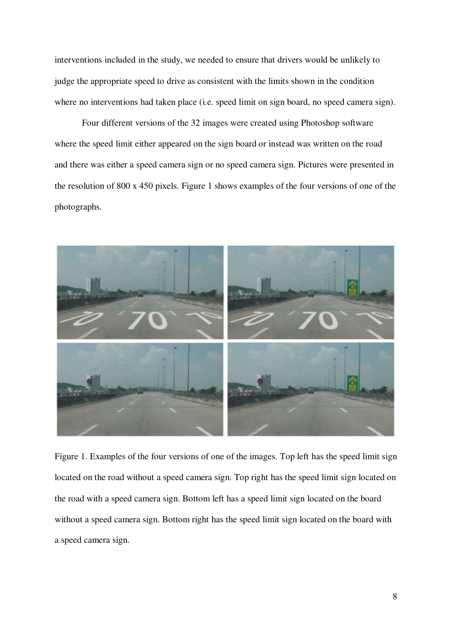interventions included in the study, we needed to ensure that drivers would be unlikely to judge the appropriate speed to drive as consistent with the limits shown in the condition where no interventions had taken place (i.e. speed limit on sign board, no speed camera sign).

 Four different versions of the 32 images were created using Photoshop software where the speed limit either appeared on the sign board or instead was written on the road and there was either a speed camera sign or no speed camera sign. Pictures were presented in the resolution of 800 x 450 pixels. Figure 1 shows examples of the four versions of one of the photographs.



Figure 1. Examples of the four versions of one of the images. Top left has the speed limit sign located on the road without a speed camera sign. Top right has the speed limit sign located on the road with a speed camera sign. Bottom left has a speed limit sign located on the board without a speed camera sign. Bottom right has the speed limit sign located on the board with a speed camera sign.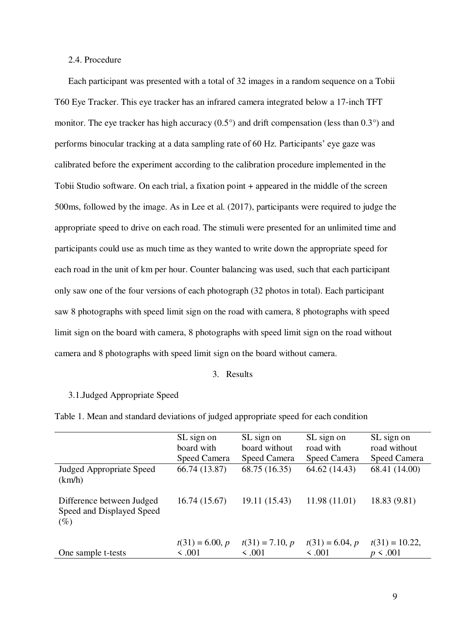# 2.4. Procedure

Each participant was presented with a total of 32 images in a random sequence on a Tobii T60 Eye Tracker. This eye tracker has an infrared camera integrated below a 17-inch TFT monitor. The eye tracker has high accuracy (0.5°) and drift compensation (less than 0.3°) and performs binocular tracking at a data sampling rate of 60 Hz. Participants' eye gaze was calibrated before the experiment according to the calibration procedure implemented in the Tobii Studio software. On each trial, a fixation point + appeared in the middle of the screen 500ms, followed by the image. As in Lee et al. (2017), participants were required to judge the appropriate speed to drive on each road. The stimuli were presented for an unlimited time and participants could use as much time as they wanted to write down the appropriate speed for each road in the unit of km per hour. Counter balancing was used, such that each participant only saw one of the four versions of each photograph (32 photos in total). Each participant saw 8 photographs with speed limit sign on the road with camera, 8 photographs with speed limit sign on the board with camera, 8 photographs with speed limit sign on the road without camera and 8 photographs with speed limit sign on the board without camera.

## 3. Results

# 3.1.Judged Appropriate Speed

| Table 1. Mean and standard deviations of judged appropriate speed for each condition |  |  |  |
|--------------------------------------------------------------------------------------|--|--|--|
|                                                                                      |  |  |  |

|                                                                  | SL sign on        | SL sign on        | SL sign on        | SL sign on        |
|------------------------------------------------------------------|-------------------|-------------------|-------------------|-------------------|
|                                                                  | board with        | board without     | road with         | road without      |
|                                                                  | Speed Camera      | Speed Camera      | Speed Camera      | Speed Camera      |
| Judged Appropriate Speed<br>(km/h)                               | 66.74 (13.87)     | 68.75 (16.35)     | 64.62 (14.43)     | 68.41 (14.00)     |
| Difference between Judged<br>Speed and Displayed Speed<br>$(\%)$ | 16.74(15.67)      | 19.11 (15.43)     | 11.98(11.01)      | 18.83 (9.81)      |
| One sample t-tests                                               | $t(31) = 6.00, p$ | $t(31) = 7.10, p$ | $t(31) = 6.04, p$ | $t(31) = 10.22$ , |
|                                                                  | $\leq .001$       | $\leq .001$       | $\leq .001$       | $p \le 0.001$     |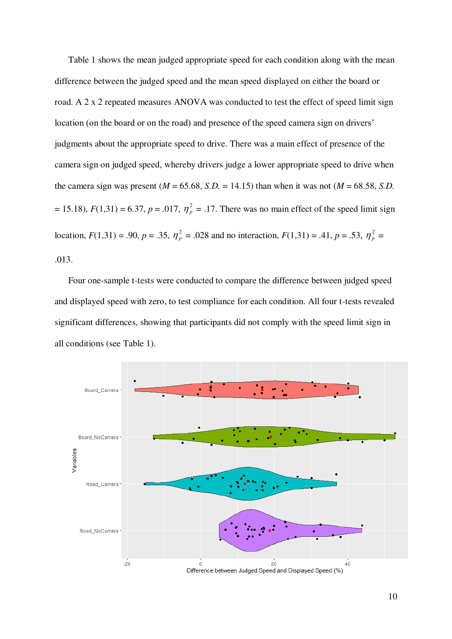Table 1 shows the mean judged appropriate speed for each condition along with the mean difference between the judged speed and the mean speed displayed on either the board or road. A 2 x 2 repeated measures ANOVA was conducted to test the effect of speed limit sign location (on the board or on the road) and presence of the speed camera sign on drivers' judgments about the appropriate speed to drive. There was a main effect of presence of the camera sign on judged speed, whereby drivers judge a lower appropriate speed to drive when the camera sign was present ( $M = 65.68$ ,  $S.D. = 14.15$ ) than when it was not ( $M = 68.58$ ,  $S.D.$  $= 15.18$ ),  $F(1,31) = 6.37$ ,  $p = .017$ ,  $\eta_p^2 = .17$ . There was no main effect of the speed limit sign location,  $F(1,31) = .90$ ,  $p = .35$ ,  $\eta_p^2 = .028$  and no interaction,  $F(1,31) = .41$ ,  $p = .53$ ,  $\eta_p^2 =$ .013.

Four one-sample t-tests were conducted to compare the difference between judged speed and displayed speed with zero, to test compliance for each condition. All four t-tests revealed significant differences, showing that participants did not comply with the speed limit sign in all conditions (see Table 1).

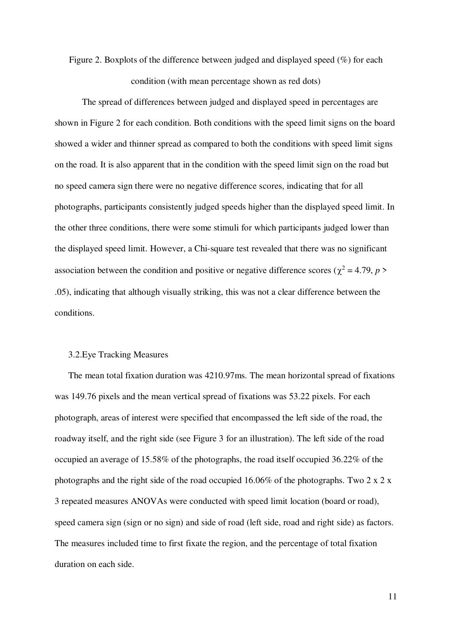# Figure 2. Boxplots of the difference between judged and displayed speed (%) for each condition (with mean percentage shown as red dots)

 The spread of differences between judged and displayed speed in percentages are shown in Figure 2 for each condition. Both conditions with the speed limit signs on the board showed a wider and thinner spread as compared to both the conditions with speed limit signs on the road. It is also apparent that in the condition with the speed limit sign on the road but no speed camera sign there were no negative difference scores, indicating that for all photographs, participants consistently judged speeds higher than the displayed speed limit. In the other three conditions, there were some stimuli for which participants judged lower than the displayed speed limit. However, a Chi-square test revealed that there was no significant association between the condition and positive or negative difference scores ( $\chi^2$  = 4.79, *p* > .05), indicating that although visually striking, this was not a clear difference between the conditions.

# 3.2.Eye Tracking Measures

The mean total fixation duration was 4210.97ms. The mean horizontal spread of fixations was 149.76 pixels and the mean vertical spread of fixations was 53.22 pixels. For each photograph, areas of interest were specified that encompassed the left side of the road, the roadway itself, and the right side (see Figure 3 for an illustration). The left side of the road occupied an average of 15.58% of the photographs, the road itself occupied 36.22% of the photographs and the right side of the road occupied 16.06% of the photographs. Two 2 x 2 x 3 repeated measures ANOVAs were conducted with speed limit location (board or road), speed camera sign (sign or no sign) and side of road (left side, road and right side) as factors. The measures included time to first fixate the region, and the percentage of total fixation duration on each side.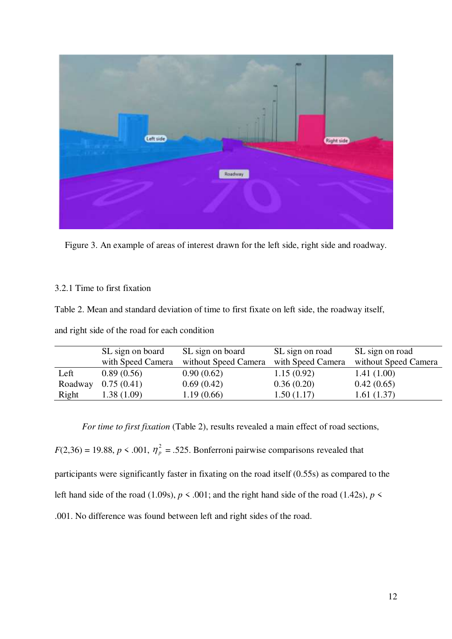

Figure 3. An example of areas of interest drawn for the left side, right side and roadway.

# 3.2.1 Time to first fixation

Table 2. Mean and standard deviation of time to first fixate on left side, the roadway itself,

|         | SL sign on board<br>with Speed Camera | SL sign on board<br>without Speed Camera | SL sign on road<br>with Speed Camera | SL sign on road<br>without Speed Camera |
|---------|---------------------------------------|------------------------------------------|--------------------------------------|-----------------------------------------|
| Left    | 0.89(0.56)                            | 0.90(0.62)                               | 1.15(0.92)                           | 1.41(1.00)                              |
| Roadway | 0.75(0.41)                            | 0.69(0.42)                               | 0.36(0.20)                           | 0.42(0.65)                              |
| Right   | 1.38(1.09)                            | 1.19 (0.66)                              | 1.50(1.17)                           | 1.61(1.37)                              |

and right side of the road for each condition

*For time to first fixation* (Table 2), results revealed a main effect of road sections,

 $F(2,36) = 19.88$ ,  $p \le 0.001$ ,  $\eta_p^2 = 0.525$ . Bonferroni pairwise comparisons revealed that

participants were significantly faster in fixating on the road itself (0.55s) as compared to the

left hand side of the road (1.09s),  $p \le 0.001$ ; and the right hand side of the road (1.42s),  $p \le$ 

.001. No difference was found between left and right sides of the road.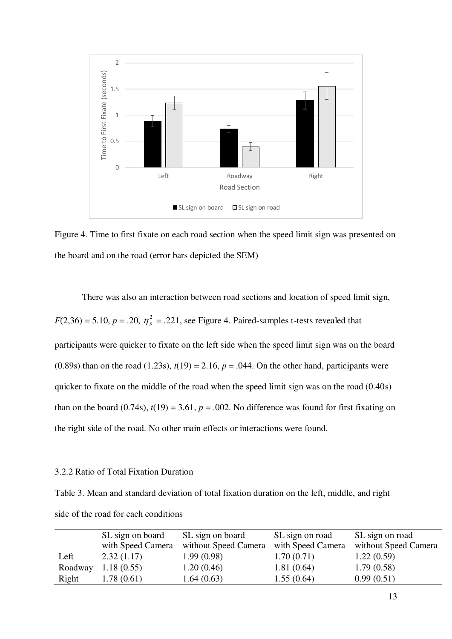

Figure 4. Time to first fixate on each road section when the speed limit sign was presented on the board and on the road (error bars depicted the SEM)

There was also an interaction between road sections and location of speed limit sign,  $F(2,36) = 5.10, p = .20, \eta_p^2 = .221$ , see Figure 4. Paired-samples t-tests revealed that participants were quicker to fixate on the left side when the speed limit sign was on the board (0.89s) than on the road (1.23s),  $t(19) = 2.16$ ,  $p = .044$ . On the other hand, participants were quicker to fixate on the middle of the road when the speed limit sign was on the road (0.40s) than on the board  $(0.74s)$ ,  $t(19) = 3.61$ ,  $p = .002$ . No difference was found for first fixating on the right side of the road. No other main effects or interactions were found.

# 3.2.2 Ratio of Total Fixation Duration

Table 3. Mean and standard deviation of total fixation duration on the left, middle, and right side of the road for each conditions

|         | SL sign on board  | SL sign on board     | SL sign on road   | SL sign on road      |
|---------|-------------------|----------------------|-------------------|----------------------|
|         | with Speed Camera | without Speed Camera | with Speed Camera | without Speed Camera |
| Left    | 2.32(1.17)        | 1.99(0.98)           | 1.70(0.71)        | 1.22(0.59)           |
| Roadway | 1.18(0.55)        | 1.20(0.46)           | 1.81(0.64)        | 1.79(0.58)           |
| Right   | 1.78(0.61)        | 1.64(0.63)           | 1.55(0.64)        | 0.99(0.51)           |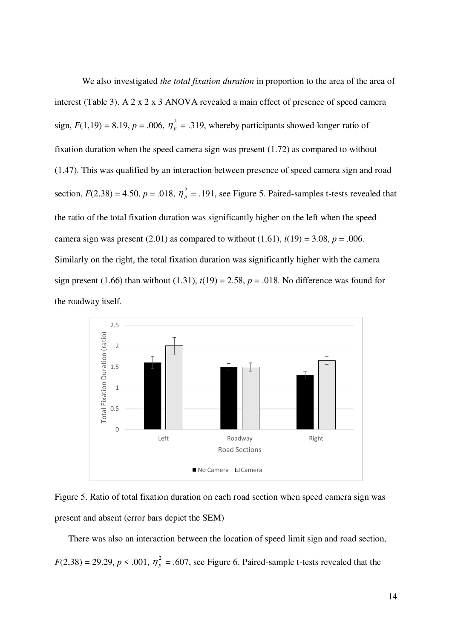We also investigated *the total fixation duration* in proportion to the area of the area of interest (Table 3). A 2 x 2 x 3 ANOVA revealed a main effect of presence of speed camera sign,  $F(1,19) = 8.19$ ,  $p = .006$ ,  $\eta_p^2 = .319$ , whereby participants showed longer ratio of fixation duration when the speed camera sign was present (1.72) as compared to without (1.47). This was qualified by an interaction between presence of speed camera sign and road section,  $F(2,38) = 4.50$ ,  $p = .018$ ,  $\eta_p^2 = .191$ , see Figure 5. Paired-samples t-tests revealed that the ratio of the total fixation duration was significantly higher on the left when the speed camera sign was present (2.01) as compared to without (1.61),  $t(19) = 3.08$ ,  $p = .006$ . Similarly on the right, the total fixation duration was significantly higher with the camera sign present (1.66) than without (1.31),  $t(19) = 2.58$ ,  $p = .018$ . No difference was found for the roadway itself.



Figure 5. Ratio of total fixation duration on each road section when speed camera sign was present and absent (error bars depict the SEM)

There was also an interaction between the location of speed limit sign and road section,  $F(2,38) = 29.29, p \le 0.001, \eta_p^2 = 0.607$ , see Figure 6. Paired-sample t-tests revealed that the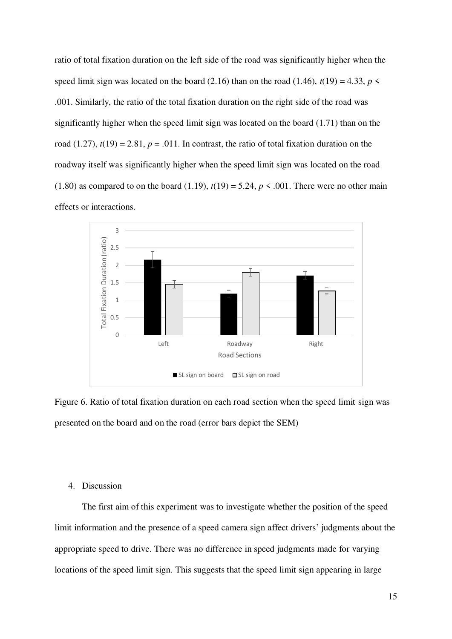ratio of total fixation duration on the left side of the road was significantly higher when the speed limit sign was located on the board (2.16) than on the road (1.46),  $t(19) = 4.33$ ,  $p \le$ .001. Similarly, the ratio of the total fixation duration on the right side of the road was significantly higher when the speed limit sign was located on the board (1.71) than on the road  $(1.27)$ ,  $t(19) = 2.81$ ,  $p = .011$ . In contrast, the ratio of total fixation duration on the roadway itself was significantly higher when the speed limit sign was located on the road (1.80) as compared to on the board (1.19),  $t(19) = 5.24$ ,  $p \le 0.001$ . There were no other main effects or interactions.



Figure 6. Ratio of total fixation duration on each road section when the speed limit sign was presented on the board and on the road (error bars depict the SEM)

# 4. Discussion

The first aim of this experiment was to investigate whether the position of the speed limit information and the presence of a speed camera sign affect drivers' judgments about the appropriate speed to drive. There was no difference in speed judgments made for varying locations of the speed limit sign. This suggests that the speed limit sign appearing in large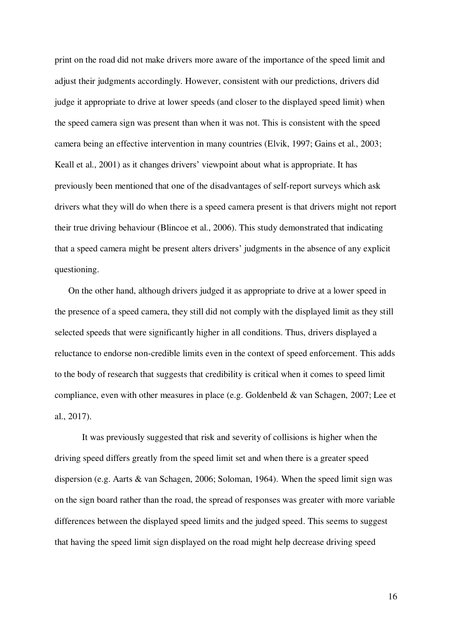print on the road did not make drivers more aware of the importance of the speed limit and adjust their judgments accordingly. However, consistent with our predictions, drivers did judge it appropriate to drive at lower speeds (and closer to the displayed speed limit) when the speed camera sign was present than when it was not. This is consistent with the speed camera being an effective intervention in many countries (Elvik, 1997; Gains et al., 2003; Keall et al., 2001) as it changes drivers' viewpoint about what is appropriate. It has previously been mentioned that one of the disadvantages of self-report surveys which ask drivers what they will do when there is a speed camera present is that drivers might not report their true driving behaviour (Blincoe et al., 2006). This study demonstrated that indicating that a speed camera might be present alters drivers' judgments in the absence of any explicit questioning.

On the other hand, although drivers judged it as appropriate to drive at a lower speed in the presence of a speed camera, they still did not comply with the displayed limit as they still selected speeds that were significantly higher in all conditions. Thus, drivers displayed a reluctance to endorse non-credible limits even in the context of speed enforcement. This adds to the body of research that suggests that credibility is critical when it comes to speed limit compliance, even with other measures in place (e.g. Goldenbeld & van Schagen, 2007; Lee et al., 2017).

It was previously suggested that risk and severity of collisions is higher when the driving speed differs greatly from the speed limit set and when there is a greater speed dispersion (e.g. Aarts & van Schagen, 2006; Soloman, 1964). When the speed limit sign was on the sign board rather than the road, the spread of responses was greater with more variable differences between the displayed speed limits and the judged speed. This seems to suggest that having the speed limit sign displayed on the road might help decrease driving speed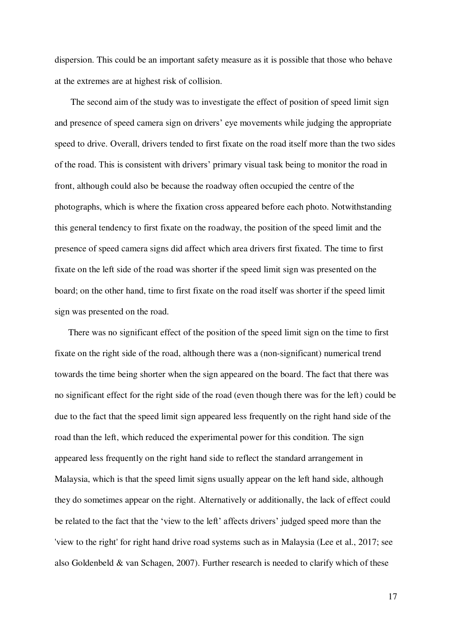dispersion. This could be an important safety measure as it is possible that those who behave at the extremes are at highest risk of collision.

 The second aim of the study was to investigate the effect of position of speed limit sign and presence of speed camera sign on drivers' eye movements while judging the appropriate speed to drive. Overall, drivers tended to first fixate on the road itself more than the two sides of the road. This is consistent with drivers' primary visual task being to monitor the road in front, although could also be because the roadway often occupied the centre of the photographs, which is where the fixation cross appeared before each photo. Notwithstanding this general tendency to first fixate on the roadway, the position of the speed limit and the presence of speed camera signs did affect which area drivers first fixated. The time to first fixate on the left side of the road was shorter if the speed limit sign was presented on the board; on the other hand, time to first fixate on the road itself was shorter if the speed limit sign was presented on the road.

There was no significant effect of the position of the speed limit sign on the time to first fixate on the right side of the road, although there was a (non-significant) numerical trend towards the time being shorter when the sign appeared on the board. The fact that there was no significant effect for the right side of the road (even though there was for the left) could be due to the fact that the speed limit sign appeared less frequently on the right hand side of the road than the left, which reduced the experimental power for this condition. The sign appeared less frequently on the right hand side to reflect the standard arrangement in Malaysia, which is that the speed limit signs usually appear on the left hand side, although they do sometimes appear on the right. Alternatively or additionally, the lack of effect could be related to the fact that the 'view to the left' affects drivers' judged speed more than the 'view to the right' for right hand drive road systems such as in Malaysia (Lee et al., 2017; see also Goldenbeld & van Schagen, 2007). Further research is needed to clarify which of these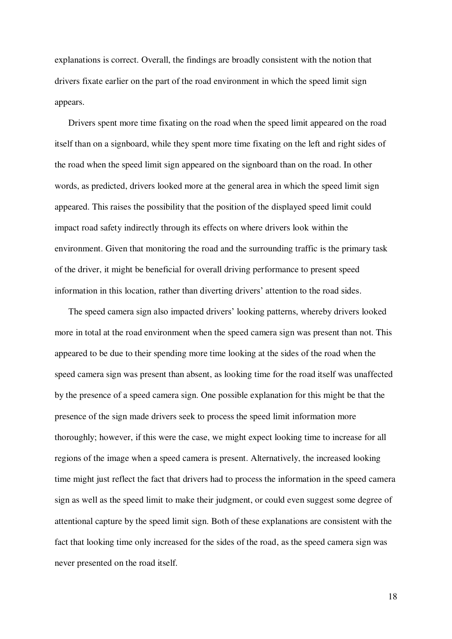explanations is correct. Overall, the findings are broadly consistent with the notion that drivers fixate earlier on the part of the road environment in which the speed limit sign appears.

Drivers spent more time fixating on the road when the speed limit appeared on the road itself than on a signboard, while they spent more time fixating on the left and right sides of the road when the speed limit sign appeared on the signboard than on the road. In other words, as predicted, drivers looked more at the general area in which the speed limit sign appeared. This raises the possibility that the position of the displayed speed limit could impact road safety indirectly through its effects on where drivers look within the environment. Given that monitoring the road and the surrounding traffic is the primary task of the driver, it might be beneficial for overall driving performance to present speed information in this location, rather than diverting drivers' attention to the road sides.

The speed camera sign also impacted drivers' looking patterns, whereby drivers looked more in total at the road environment when the speed camera sign was present than not. This appeared to be due to their spending more time looking at the sides of the road when the speed camera sign was present than absent, as looking time for the road itself was unaffected by the presence of a speed camera sign. One possible explanation for this might be that the presence of the sign made drivers seek to process the speed limit information more thoroughly; however, if this were the case, we might expect looking time to increase for all regions of the image when a speed camera is present. Alternatively, the increased looking time might just reflect the fact that drivers had to process the information in the speed camera sign as well as the speed limit to make their judgment, or could even suggest some degree of attentional capture by the speed limit sign. Both of these explanations are consistent with the fact that looking time only increased for the sides of the road, as the speed camera sign was never presented on the road itself.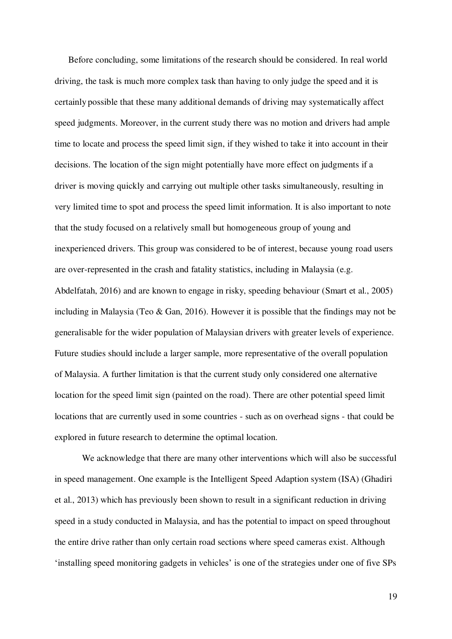Before concluding, some limitations of the research should be considered. In real world driving, the task is much more complex task than having to only judge the speed and it is certainly possible that these many additional demands of driving may systematically affect speed judgments. Moreover, in the current study there was no motion and drivers had ample time to locate and process the speed limit sign, if they wished to take it into account in their decisions. The location of the sign might potentially have more effect on judgments if a driver is moving quickly and carrying out multiple other tasks simultaneously, resulting in very limited time to spot and process the speed limit information. It is also important to note that the study focused on a relatively small but homogeneous group of young and inexperienced drivers. This group was considered to be of interest, because young road users are over-represented in the crash and fatality statistics, including in Malaysia (e.g. Abdelfatah, 2016) and are known to engage in risky, speeding behaviour (Smart et al., 2005) including in Malaysia (Teo & Gan, 2016). However it is possible that the findings may not be generalisable for the wider population of Malaysian drivers with greater levels of experience. Future studies should include a larger sample, more representative of the overall population of Malaysia. A further limitation is that the current study only considered one alternative location for the speed limit sign (painted on the road). There are other potential speed limit locations that are currently used in some countries - such as on overhead signs - that could be explored in future research to determine the optimal location.

We acknowledge that there are many other interventions which will also be successful in speed management. One example is the Intelligent Speed Adaption system (ISA) (Ghadiri et al., 2013) which has previously been shown to result in a significant reduction in driving speed in a study conducted in Malaysia, and has the potential to impact on speed throughout the entire drive rather than only certain road sections where speed cameras exist. Although 'installing speed monitoring gadgets in vehicles' is one of the strategies under one of five SPs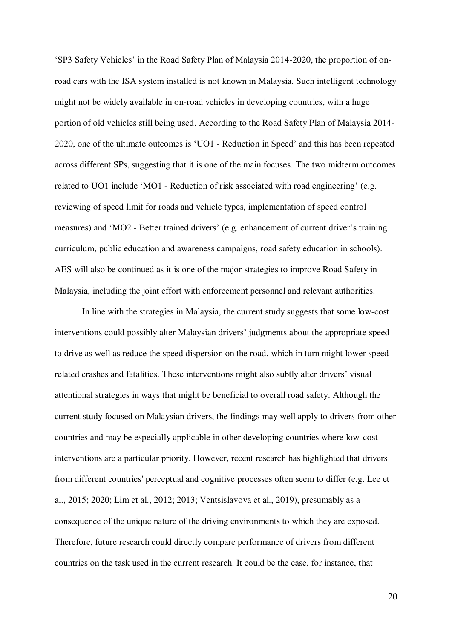'SP3 Safety Vehicles' in the Road Safety Plan of Malaysia 2014-2020, the proportion of onroad cars with the ISA system installed is not known in Malaysia. Such intelligent technology might not be widely available in on-road vehicles in developing countries, with a huge portion of old vehicles still being used. According to the Road Safety Plan of Malaysia 2014- 2020, one of the ultimate outcomes is 'UO1 - Reduction in Speed' and this has been repeated across different SPs, suggesting that it is one of the main focuses. The two midterm outcomes related to UO1 include 'MO1 - Reduction of risk associated with road engineering' (e.g. reviewing of speed limit for roads and vehicle types, implementation of speed control measures) and 'MO2 - Better trained drivers' (e.g. enhancement of current driver's training curriculum, public education and awareness campaigns, road safety education in schools). AES will also be continued as it is one of the major strategies to improve Road Safety in Malaysia, including the joint effort with enforcement personnel and relevant authorities.

In line with the strategies in Malaysia, the current study suggests that some low-cost interventions could possibly alter Malaysian drivers' judgments about the appropriate speed to drive as well as reduce the speed dispersion on the road, which in turn might lower speedrelated crashes and fatalities. These interventions might also subtly alter drivers' visual attentional strategies in ways that might be beneficial to overall road safety. Although the current study focused on Malaysian drivers, the findings may well apply to drivers from other countries and may be especially applicable in other developing countries where low-cost interventions are a particular priority. However, recent research has highlighted that drivers from different countries' perceptual and cognitive processes often seem to differ (e.g. Lee et al., 2015; 2020; Lim et al., 2012; 2013; Ventsislavova et al., 2019), presumably as a consequence of the unique nature of the driving environments to which they are exposed. Therefore, future research could directly compare performance of drivers from different countries on the task used in the current research. It could be the case, for instance, that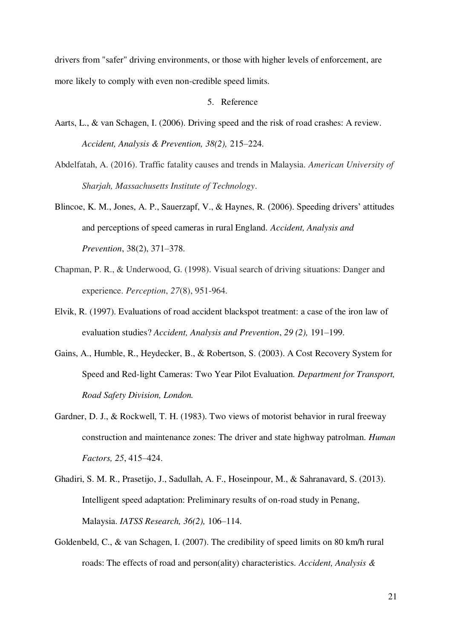drivers from "safer" driving environments, or those with higher levels of enforcement, are more likely to comply with even non-credible speed limits.

## 5. Reference

- Aarts, L., & van Schagen, I. (2006). Driving speed and the risk of road crashes: A review. *Accident, Analysis & Prevention, 38(2),* 215–224.
- Abdelfatah, A. (2016). Traffic fatality causes and trends in Malaysia. *American University of Sharjah, Massachusetts Institute of Technology*.
- Blincoe, K. M., Jones, A. P., Sauerzapf, V., & Haynes, R. (2006). Speeding drivers' attitudes and perceptions of speed cameras in rural England. *Accident, Analysis and Prevention*, 38(2), 371–378.
- Chapman, P. R., & Underwood, G. (1998). Visual search of driving situations: Danger and experience. *Perception*, *27*(8), 951-964.
- Elvik, R. (1997). Evaluations of road accident blackspot treatment: a case of the iron law of evaluation studies? *Accident, Analysis and Prevention*, *29 (2),* 191–199.
- Gains, A., Humble, R., Heydecker, B., & Robertson, S. (2003). A Cost Recovery System for Speed and Red-light Cameras: Two Year Pilot Evaluation*. Department for Transport, Road Safety Division, London.*
- Gardner, D. J., & Rockwell, T. H. (1983). Two views of motorist behavior in rural freeway construction and maintenance zones: The driver and state highway patrolman. *Human Factors, 25*, 415–424.
- Ghadiri, S. M. R., Prasetijo, J., Sadullah, A. F., Hoseinpour, M., & Sahranavard, S. (2013). Intelligent speed adaptation: Preliminary results of on-road study in Penang, Malaysia. *IATSS Research, 36(2),* 106–114.
- Goldenbeld, C., & van Schagen, I. (2007). The credibility of speed limits on 80 km/h rural roads: The effects of road and person(ality) characteristics. *Accident, Analysis &*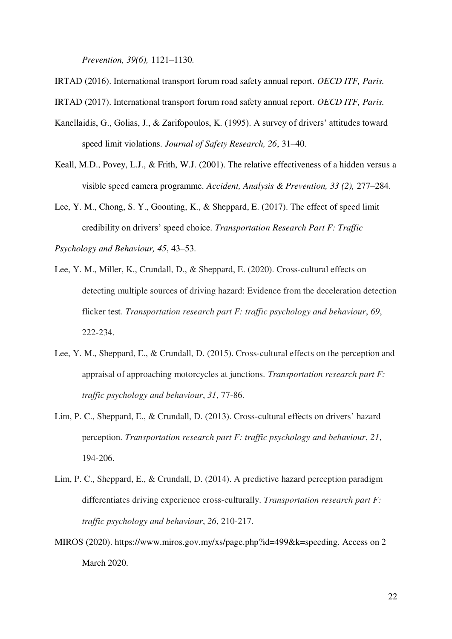*Prevention, 39(6),* 1121–1130.

IRTAD (2016). International transport forum road safety annual report. *OECD ITF, Paris.*

IRTAD (2017). International transport forum road safety annual report. *OECD ITF, Paris.* 

- Kanellaidis, G., Golias, J., & Zarifopoulos, K. (1995). A survey of drivers' attitudes toward speed limit violations. *Journal of Safety Research, 26*, 31–40.
- Keall, M.D., Povey, L.J., & Frith, W.J. (2001). The relative effectiveness of a hidden versus a visible speed camera programme. *Accident, Analysis & Prevention, 33 (2),* 277–284.
- Lee, Y. M., Chong, S. Y., Goonting, K., & Sheppard, E. (2017). The effect of speed limit credibility on drivers' speed choice. *Transportation Research Part F: Traffic*

*Psychology and Behaviour, 45*, 43–53.

- Lee, Y. M., Miller, K., Crundall, D., & Sheppard, E. (2020). Cross-cultural effects on detecting multiple sources of driving hazard: Evidence from the deceleration detection flicker test. *Transportation research part F: traffic psychology and behaviour*, *69*, 222-234.
- Lee, Y. M., Sheppard, E., & Crundall, D. (2015). Cross-cultural effects on the perception and appraisal of approaching motorcycles at junctions. *Transportation research part F: traffic psychology and behaviour*, *31*, 77-86.
- Lim, P. C., Sheppard, E., & Crundall, D. (2013). Cross-cultural effects on drivers' hazard perception. *Transportation research part F: traffic psychology and behaviour*, *21*, 194-206.
- Lim, P. C., Sheppard, E., & Crundall, D. (2014). A predictive hazard perception paradigm differentiates driving experience cross-culturally. *Transportation research part F: traffic psychology and behaviour*, *26*, 210-217.
- MIROS (2020). https://www.miros.gov.my/xs/page.php?id=499&k=speeding. Access on 2 March 2020.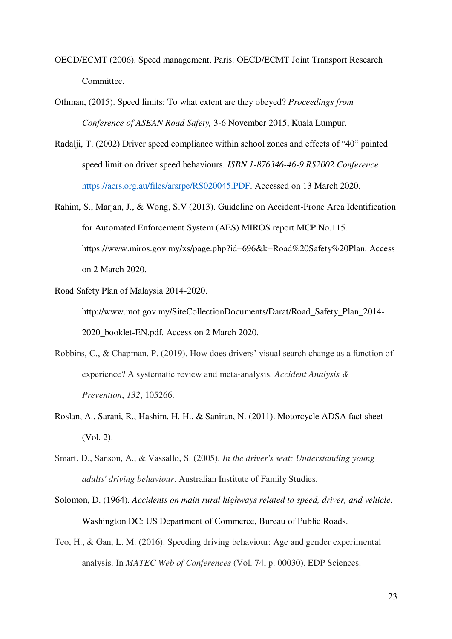- OECD/ECMT (2006). Speed management. Paris: OECD/ECMT Joint Transport Research Committee.
- Othman, (2015). Speed limits: To what extent are they obeyed? *Proceedings from Conference of ASEAN Road Safety,* 3-6 November 2015, Kuala Lumpur.
- Radalji, T. (2002) Driver speed compliance within school zones and effects of "40" painted speed limit on driver speed behaviours. *ISBN 1-876346-46-9 RS2002 Conference* [https://acrs.org.au/files/arsrpe/RS020045.PDF.](https://acrs.org.au/files/arsrpe/RS020045.PDF) Accessed on 13 March 2020.
- Rahim, S., Marjan, J., & Wong, S.V (2013). Guideline on Accident-Prone Area Identification for Automated Enforcement System (AES) MIROS report MCP No.115. https://www.miros.gov.my/xs/page.php?id=696&k=Road%20Safety%20Plan. Access on 2 March 2020.
- Road Safety Plan of Malaysia 2014-2020.

http://www.mot.gov.my/SiteCollectionDocuments/Darat/Road\_Safety\_Plan\_2014- 2020\_booklet-EN.pdf. Access on 2 March 2020.

- Robbins, C., & Chapman, P. (2019). How does drivers' visual search change as a function of experience? A systematic review and meta-analysis. *Accident Analysis & Prevention*, *132*, 105266.
- Roslan, A., Sarani, R., Hashim, H. H., & Saniran, N. (2011). Motorcycle ADSA fact sheet (Vol. 2).
- Smart, D., Sanson, A., & Vassallo, S. (2005). *In the driver's seat: Understanding young adults' driving behaviour*. Australian Institute of Family Studies.
- Solomon, D. (1964). *Accidents on main rural highways related to speed, driver, and vehicle.* Washington DC: US Department of Commerce, Bureau of Public Roads.
- Teo, H., & Gan, L. M. (2016). Speeding driving behaviour: Age and gender experimental analysis. In *MATEC Web of Conferences* (Vol. 74, p. 00030). EDP Sciences.